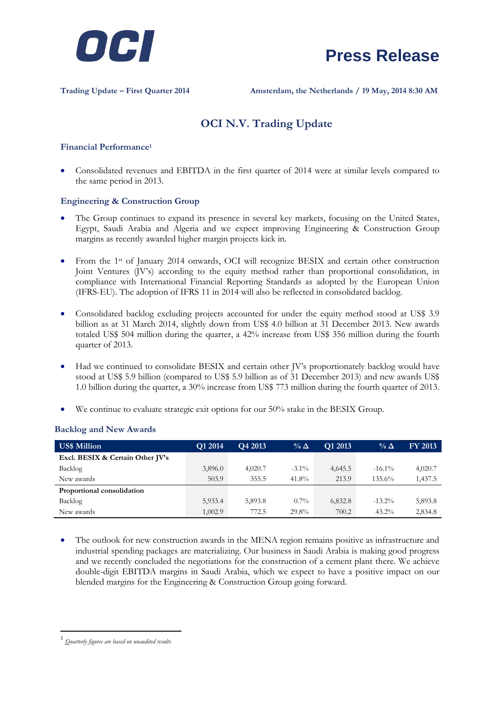



**Trading Update – First Quarter 2014 Amsterdam, the Netherlands / 19 May, 2014 8:30 AM**

### **OCI N.V. Trading Update**

### **Financial Performance<sup>1</sup>**

 Consolidated revenues and EBITDA in the first quarter of 2014 were at similar levels compared to the same period in 2013.

#### **Engineering & Construction Group**

- The Group continues to expand its presence in several key markets, focusing on the United States, Egypt, Saudi Arabia and Algeria and we expect improving Engineering & Construction Group margins as recently awarded higher margin projects kick in.
- From the 1st of January 2014 onwards, OCI will recognize BESIX and certain other construction Joint Ventures (JV's) according to the equity method rather than proportional consolidation, in compliance with International Financial Reporting Standards as adopted by the European Union (IFRS-EU). The adoption of IFRS 11 in 2014 will also be reflected in consolidated backlog.
- Consolidated backlog excluding projects accounted for under the equity method stood at US\$ 3.9 billion as at 31 March 2014, slightly down from US\$ 4.0 billion at 31 December 2013. New awards totaled US\$ 504 million during the quarter, a 42% increase from US\$ 356 million during the fourth quarter of 2013.
- Had we continued to consolidate BESIX and certain other JV's proportionately backlog would have stood at US\$ 5.9 billion (compared to US\$ 5.9 billion as of 31 December 2013) and new awards US\$ 1.0 billion during the quarter, a 30% increase from US\$ 773 million during the fourth quarter of 2013.
- We continue to evaluate strategic exit options for our 50% stake in the BESIX Group.

| <b>US\$ Million</b>              | Q1 2014 | Q4 2013 | $\%$ $\Delta$ | Q1 2013 | $\%$ $\Delta$ | FY 2013 |
|----------------------------------|---------|---------|---------------|---------|---------------|---------|
| Excl. BESIX & Certain Other JV's |         |         |               |         |               |         |
| Backlog                          | 3,896.0 | 4.020.7 | $-3.1\%$      | 4,645.5 | $-16.1\%$     | 4,020.7 |
| New awards                       | 503.9   | 355.5   | 41.8%         | 213.9   | 135.6%        | 1,437.5 |
| Proportional consolidation       |         |         |               |         |               |         |
| Backlog                          | 5,933.4 | 5,893.8 | $0.7\%$       | 6,832.8 | $-13.2\%$     | 5,893.8 |
| New awards                       | 1,002.9 | 772.5   | 29.8%         | 700.2   | $43.2\%$      | 2,834.8 |

### **Backlog and New Awards**

 The outlook for new construction awards in the MENA region remains positive as infrastructure and industrial spending packages are materializing. Our business in Saudi Arabia is making good progress and we recently concluded the negotiations for the construction of a cement plant there. We achieve double-digit EBITDA margins in Saudi Arabia, which we expect to have a positive impact on our blended margins for the Engineering & Construction Group going forward.

1

<sup>1</sup> *Quarterly figures are based on unaudited results*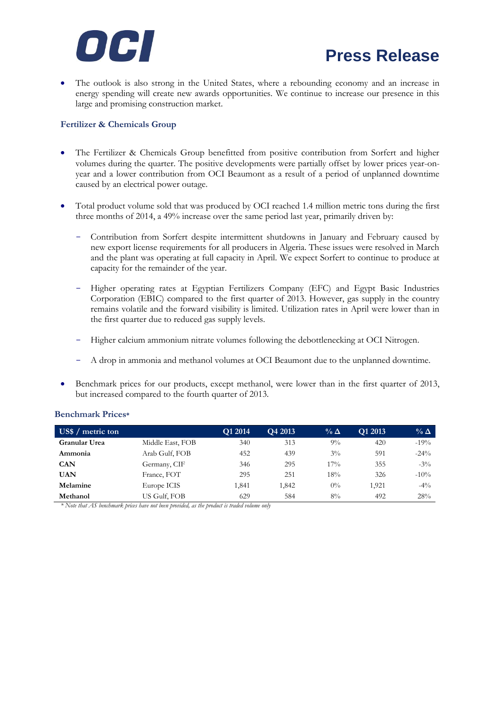

## **Press Release**

 The outlook is also strong in the United States, where a rebounding economy and an increase in energy spending will create new awards opportunities. We continue to increase our presence in this large and promising construction market.

### **Fertilizer & Chemicals Group**

- The Fertilizer & Chemicals Group benefitted from positive contribution from Sorfert and higher volumes during the quarter. The positive developments were partially offset by lower prices year-onyear and a lower contribution from OCI Beaumont as a result of a period of unplanned downtime caused by an electrical power outage.
- Total product volume sold that was produced by OCI reached 1.4 million metric tons during the first three months of 2014, a 49% increase over the same period last year, primarily driven by:
	- Contribution from Sorfert despite intermittent shutdowns in January and February caused by new export license requirements for all producers in Algeria. These issues were resolved in March and the plant was operating at full capacity in April. We expect Sorfert to continue to produce at capacity for the remainder of the year.
	- Higher operating rates at Egyptian Fertilizers Company (EFC) and Egypt Basic Industries Corporation (EBIC) compared to the first quarter of 2013. However, gas supply in the country remains volatile and the forward visibility is limited. Utilization rates in April were lower than in the first quarter due to reduced gas supply levels.
	- Higher calcium ammonium nitrate volumes following the debottlenecking at OCI Nitrogen.
	- A drop in ammonia and methanol volumes at OCI Beaumont due to the unplanned downtime.
- Benchmark prices for our products, except methanol, were lower than in the first quarter of 2013, but increased compared to the fourth quarter of 2013.

| US\$ / metric ton |                  | Q1 2014 | Q4 2013 | $\%$ $\Delta$ | O1 2013 | $\%$ $\Delta$ |
|-------------------|------------------|---------|---------|---------------|---------|---------------|
| Granular Urea     | Middle East, FOB | 340     | 313     | $9\%$         | 420     | $-19%$        |
| Ammonia           | Arab Gulf, FOB   | 452     | 439     | $3\%$         | 591     | $-24\%$       |
| <b>CAN</b>        | Germany, CIF     | 346     | 295     | $17\%$        | 355     | $-3\%$        |
| UAN               | France, FOT      | 295     | 251     | 18%           | 326     | $-10\%$       |
| Melamine          | Europe ICIS      | 1,841   | 1,842   | $0\%$         | 1.921   | $-4\%$        |
| Methanol          | US Gulf, FOB     | 629     | 584     | $8\%$         | 492     | 28%           |

### **Benchmark Prices\***

*\* Note that AS benchmark prices have not been provided, as the product is traded volume only*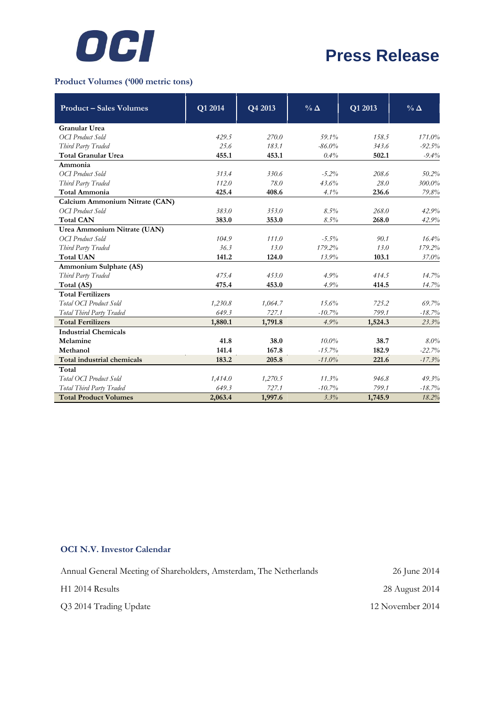

# **Press Release**

### **Product Volumes ('000 metric tons)**

| <b>Product – Sales Volumes</b>                            | Q1 2014 | Q4 2013 | $\%$ $\Delta$ | Q1 2013 | $\%$ $\Delta$ |
|-----------------------------------------------------------|---------|---------|---------------|---------|---------------|
|                                                           |         |         |               |         |               |
| <b>Granular Urea</b><br><b>OCI</b> Product Sold           | 429.5   | 270.0   | 59.1%         | 158.5   | 171.0%        |
| Third Party Traded                                        | 25.6    | 183.1   | $-86.0%$      | 343.6   | $-92.5%$      |
| <b>Total Granular Urea</b>                                | 455.1   | 453.1   | 0.4%          | 502.1   |               |
| Ammonia                                                   |         |         |               |         | $-9.4%$       |
| OCI Product Sold                                          | 313.4   | 330.6   | $-5.2%$       | 208.6   | 50.2%         |
|                                                           | 112.0   | 78.0    | 43.6%         | 28.0    | 300.0%        |
| Third Party Traded<br><b>Total Ammonia</b>                | 425.4   | 408.6   | 4.1%          | 236.6   |               |
|                                                           |         |         |               |         | 79.8%         |
| Calcium Ammonium Nitrate (CAN)<br><b>OCI</b> Product Sold | 383.0   |         |               | 268.0   | 42.9%         |
|                                                           |         | 353.0   | 8.5%          |         |               |
| <b>Total CAN</b>                                          | 383.0   | 353.0   | 8.5%          | 268.0   | 42.9%         |
| Urea Ammonium Nitrate (UAN)                               |         |         |               |         |               |
| <b>OCI</b> Product Sold                                   | 104.9   | 111.0   | $-5.5%$       | 90.1    | 16.4%         |
| Third Party Traded                                        | 36.3    | 13.0    | 179.2%        | 13.0    | 179.2%        |
| <b>Total UAN</b>                                          | 141.2   | 124.0   | 13.9%         | 103.1   | 37.0%         |
| Ammonium Sulphate (AS)                                    |         |         |               |         |               |
| Third Party Traded                                        | 475.4   | 453.0   | 4.9%          | 414.5   | 14.7%         |
| Total (AS)                                                | 475.4   | 453.0   | 4.9%          | 414.5   | 14.7%         |
| <b>Total Fertilizers</b>                                  |         |         |               |         |               |
| Total OCI Product Sold                                    | 1,230.8 | 1,064.7 | 15.6%         | 725.2   | 69.7%         |
| Total Third Party Traded                                  | 649.3   | 727.1   | $-10.7%$      | 799.1   | $-18.7%$      |
| <b>Total Fertilizers</b>                                  | 1,880.1 | 1,791.8 | 4.9%          | 1,524.3 | 23.3%         |
| <b>Industrial Chemicals</b>                               |         |         |               |         |               |
| Melamine                                                  | 41.8    | 38.0    | $10.0\%$      | 38.7    | 8.0%          |
| Methanol                                                  | 141.4   | 167.8   | $-15.7%$      | 182.9   | $-22.7%$      |
| Total industrial chemicals                                | 183.2   | 205.8   | $-11.0%$      | 221.6   | $-17.3%$      |
| Total                                                     |         |         |               |         |               |
| Total OCI Product Sold                                    | 1,414.0 | 1,270.5 | 11.3%         | 946.8   | 49.3%         |
| Total Third Party Traded                                  | 649.3   | 727.1   | $-10.7%$      | 799.1   | $-18.7%$      |
| <b>Total Product Volumes</b>                              | 2,063.4 | 1,997.6 | 3.3%          | 1,745.9 | 18.2%         |

### **OCI N.V. Investor Calendar**

Annual General Meeting of Shareholders, Amsterdam, The Netherlands H1 2014 Results Q3 2014 Trading Update 26 June 2014 28 August 2014 12 November 2014